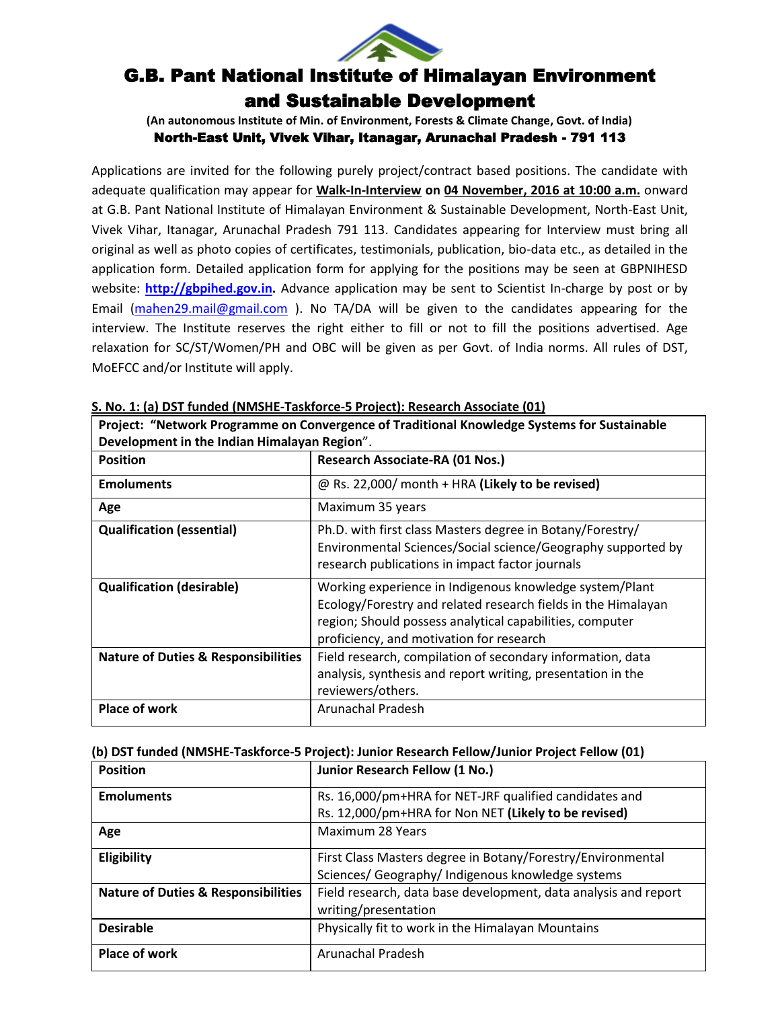

# G.B. Pant National Institute of Himalayan Environment and Sustainable Development

**(An autonomous Institute of Min. of Environment, Forests & Climate Change, Govt. of India)**

North-East Unit, Vivek Vihar, Itanagar, Arunachal Pradesh - 791 113

Applications are invited for the following purely project/contract based positions. The candidate with adequate qualification may appear for **Walk-In-Interview on 04 November, 2016 at 10:00 a.m.** onward at G.B. Pant National Institute of Himalayan Environment & Sustainable Development, North-East Unit, Vivek Vihar, Itanagar, Arunachal Pradesh 791 113. Candidates appearing for Interview must bring all original as well as photo copies of certificates, testimonials, publication, bio-data etc., as detailed in the application form. Detailed application form for applying for the positions may be seen at GBPNIHESD website: **[http://gbpihed.gov.in.](http://gbpihed.gov.in/)** Advance application may be sent to Scientist In-charge by post or by Email [\(mahen29.mail@gmail.com](mailto:mahen29.mail@gmail.com) ). No TA/DA will be given to the candidates appearing for the interview. The Institute reserves the right either to fill or not to fill the positions advertised. Age relaxation for SC/ST/Women/PH and OBC will be given as per Govt. of India norms. All rules of DST, MoEFCC and/or Institute will apply.

**Project: "Network Programme on Convergence of Traditional Knowledge Systems for Sustainable** 

| Development in the Indian Himalayan Region".   |                                                                                                                                                                                                                                  |  |
|------------------------------------------------|----------------------------------------------------------------------------------------------------------------------------------------------------------------------------------------------------------------------------------|--|
| <b>Position</b>                                | Research Associate-RA (01 Nos.)                                                                                                                                                                                                  |  |
| <b>Emoluments</b>                              | @ Rs. 22,000/ month + HRA (Likely to be revised)                                                                                                                                                                                 |  |
| Age                                            | Maximum 35 years                                                                                                                                                                                                                 |  |
| <b>Qualification (essential)</b>               | Ph.D. with first class Masters degree in Botany/Forestry/<br>Environmental Sciences/Social science/Geography supported by<br>research publications in impact factor journals                                                     |  |
| <b>Qualification (desirable)</b>               | Working experience in Indigenous knowledge system/Plant<br>Ecology/Forestry and related research fields in the Himalayan<br>region; Should possess analytical capabilities, computer<br>proficiency, and motivation for research |  |
| <b>Nature of Duties &amp; Responsibilities</b> | Field research, compilation of secondary information, data<br>analysis, synthesis and report writing, presentation in the<br>reviewers/others.                                                                                   |  |
| <b>Place of work</b>                           | Arunachal Pradesh                                                                                                                                                                                                                |  |

**S. No. 1: (a) DST funded (NMSHE-Taskforce-5 Project): Research Associate (01)**

| (b) DST funded (NMSHE-Taskforce-5 Project): Junior Research Fellow/Junior Project Fellow (01) |  |
|-----------------------------------------------------------------------------------------------|--|
|-----------------------------------------------------------------------------------------------|--|

| <b>Position</b>                                | Junior Research Fellow (1 No.)                                  |  |
|------------------------------------------------|-----------------------------------------------------------------|--|
| <b>Emoluments</b>                              | Rs. 16,000/pm+HRA for NET-JRF qualified candidates and          |  |
|                                                | Rs. 12,000/pm+HRA for Non NET (Likely to be revised)            |  |
| Age                                            | Maximum 28 Years                                                |  |
| Eligibility                                    | First Class Masters degree in Botany/Forestry/Environmental     |  |
|                                                | Sciences/ Geography/ Indigenous knowledge systems               |  |
| <b>Nature of Duties &amp; Responsibilities</b> | Field research, data base development, data analysis and report |  |
|                                                | writing/presentation                                            |  |
| <b>Desirable</b>                               | Physically fit to work in the Himalayan Mountains               |  |
| Place of work                                  | Arunachal Pradesh                                               |  |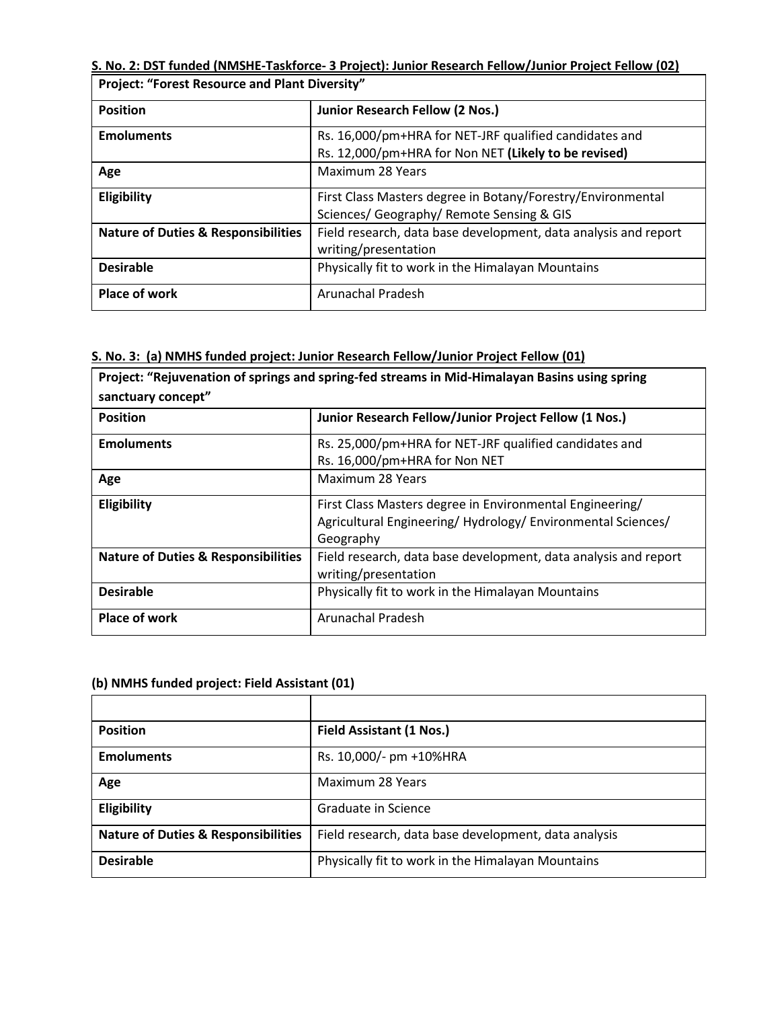### **S. No. 2: DST funded (NMSHE-Taskforce- 3 Project): Junior Research Fellow/Junior Project Fellow (02) Project: "Forest Resource and Plant Diversity"**

 $\overline{\phantom{a}}$ 

| 1101000 101030100300100 0110 110110 DIVOISILV  |                                                                                                                |  |
|------------------------------------------------|----------------------------------------------------------------------------------------------------------------|--|
| <b>Position</b>                                | Junior Research Fellow (2 Nos.)                                                                                |  |
| <b>Emoluments</b>                              | Rs. 16,000/pm+HRA for NET-JRF qualified candidates and<br>Rs. 12,000/pm+HRA for Non NET (Likely to be revised) |  |
|                                                | Maximum 28 Years                                                                                               |  |
| Age                                            |                                                                                                                |  |
| Eligibility                                    | First Class Masters degree in Botany/Forestry/Environmental                                                    |  |
|                                                | Sciences/ Geography/ Remote Sensing & GIS                                                                      |  |
| <b>Nature of Duties &amp; Responsibilities</b> | Field research, data base development, data analysis and report                                                |  |
|                                                | writing/presentation                                                                                           |  |
| <b>Desirable</b>                               | Physically fit to work in the Himalayan Mountains                                                              |  |
| <b>Place of work</b>                           | Arunachal Pradesh                                                                                              |  |

### **S. No. 3: (a) NMHS funded project: Junior Research Fellow/Junior Project Fellow (01)**

| Project: "Rejuvenation of springs and spring-fed streams in Mid-Himalayan Basins using spring<br>sanctuary concept" |                                                                                                                                     |  |  |  |  |
|---------------------------------------------------------------------------------------------------------------------|-------------------------------------------------------------------------------------------------------------------------------------|--|--|--|--|
| <b>Position</b>                                                                                                     | Junior Research Fellow/Junior Project Fellow (1 Nos.)                                                                               |  |  |  |  |
| <b>Emoluments</b>                                                                                                   | Rs. 25,000/pm+HRA for NET-JRF qualified candidates and<br>Rs. 16,000/pm+HRA for Non NET                                             |  |  |  |  |
| Age                                                                                                                 | Maximum 28 Years                                                                                                                    |  |  |  |  |
| Eligibility                                                                                                         | First Class Masters degree in Environmental Engineering/<br>Agricultural Engineering/Hydrology/Environmental Sciences/<br>Geography |  |  |  |  |
| <b>Nature of Duties &amp; Responsibilities</b>                                                                      | Field research, data base development, data analysis and report<br>writing/presentation                                             |  |  |  |  |
| <b>Desirable</b>                                                                                                    | Physically fit to work in the Himalayan Mountains                                                                                   |  |  |  |  |
| <b>Place of work</b>                                                                                                | Arunachal Pradesh                                                                                                                   |  |  |  |  |

#### **(b) NMHS funded project: Field Assistant (01)**

| <b>Position</b>                                | Field Assistant (1 Nos.)                             |  |
|------------------------------------------------|------------------------------------------------------|--|
| <b>Emoluments</b>                              | Rs. 10,000/- pm +10%HRA                              |  |
| Age                                            | Maximum 28 Years                                     |  |
| Eligibility                                    | Graduate in Science                                  |  |
| <b>Nature of Duties &amp; Responsibilities</b> | Field research, data base development, data analysis |  |
| <b>Desirable</b>                               | Physically fit to work in the Himalayan Mountains    |  |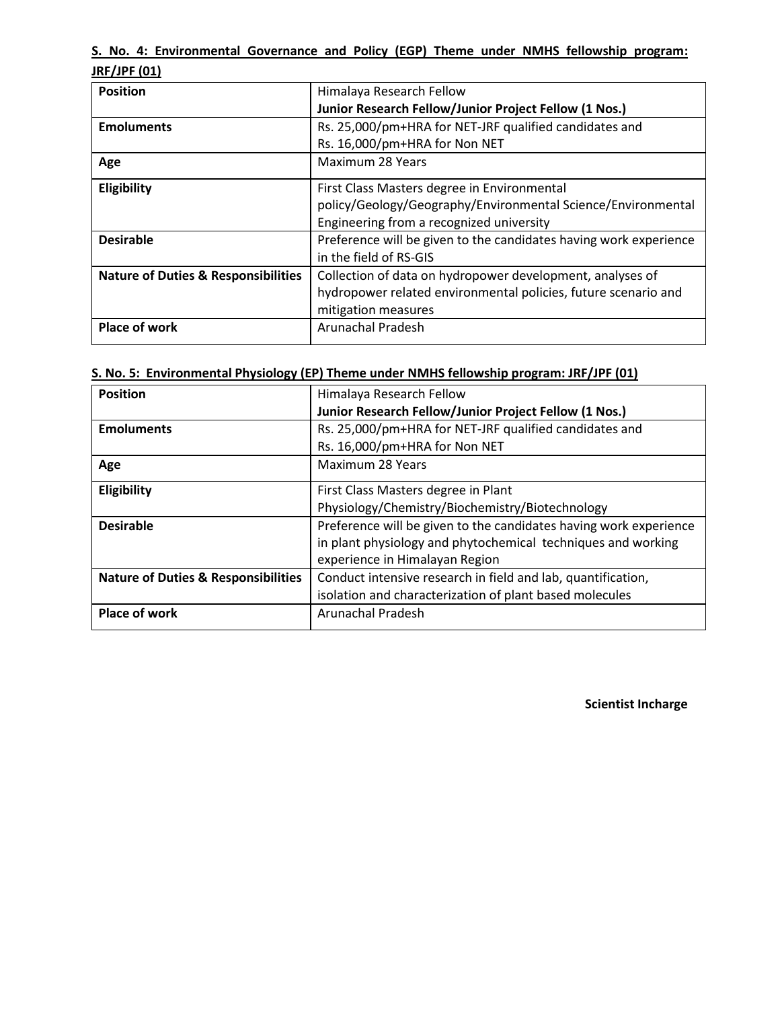|              | S. No. 4: Environmental Governance and Policy (EGP) Theme under NMHS fellowship program: |  |  |  |  |  |
|--------------|------------------------------------------------------------------------------------------|--|--|--|--|--|
| JRF/JPF (01) |                                                                                          |  |  |  |  |  |

| <b>Position</b>                                | Himalaya Research Fellow                                          |  |  |
|------------------------------------------------|-------------------------------------------------------------------|--|--|
|                                                | Junior Research Fellow/Junior Project Fellow (1 Nos.)             |  |  |
| <b>Emoluments</b>                              | Rs. 25,000/pm+HRA for NET-JRF qualified candidates and            |  |  |
|                                                | Rs. 16,000/pm+HRA for Non NET                                     |  |  |
| Age                                            | <b>Maximum 28 Years</b>                                           |  |  |
| Eligibility                                    | First Class Masters degree in Environmental                       |  |  |
|                                                | policy/Geology/Geography/Environmental Science/Environmental      |  |  |
|                                                | Engineering from a recognized university                          |  |  |
| <b>Desirable</b>                               | Preference will be given to the candidates having work experience |  |  |
|                                                | in the field of RS-GIS                                            |  |  |
| <b>Nature of Duties &amp; Responsibilities</b> | Collection of data on hydropower development, analyses of         |  |  |
|                                                | hydropower related environmental policies, future scenario and    |  |  |
|                                                | mitigation measures                                               |  |  |
| <b>Place of work</b>                           | <b>Arunachal Pradesh</b>                                          |  |  |
|                                                |                                                                   |  |  |

| S. No. 5: Environmental Physiology (EP) Theme under NMHS fellowship program: JRF/JPF (01) |
|-------------------------------------------------------------------------------------------|
|-------------------------------------------------------------------------------------------|

| <b>Position</b>                                | Himalaya Research Fellow                                          |  |  |  |
|------------------------------------------------|-------------------------------------------------------------------|--|--|--|
|                                                | Junior Research Fellow/Junior Project Fellow (1 Nos.)             |  |  |  |
| <b>Emoluments</b>                              | Rs. 25,000/pm+HRA for NET-JRF qualified candidates and            |  |  |  |
|                                                | Rs. 16,000/pm+HRA for Non NET                                     |  |  |  |
| Age                                            | Maximum 28 Years                                                  |  |  |  |
| Eligibility                                    | First Class Masters degree in Plant                               |  |  |  |
|                                                | Physiology/Chemistry/Biochemistry/Biotechnology                   |  |  |  |
| <b>Desirable</b>                               | Preference will be given to the candidates having work experience |  |  |  |
|                                                | in plant physiology and phytochemical techniques and working      |  |  |  |
|                                                | experience in Himalayan Region                                    |  |  |  |
| <b>Nature of Duties &amp; Responsibilities</b> | Conduct intensive research in field and lab, quantification,      |  |  |  |
|                                                | isolation and characterization of plant based molecules           |  |  |  |
| Place of work                                  | <b>Arunachal Pradesh</b>                                          |  |  |  |
|                                                |                                                                   |  |  |  |

**Scientist Incharge**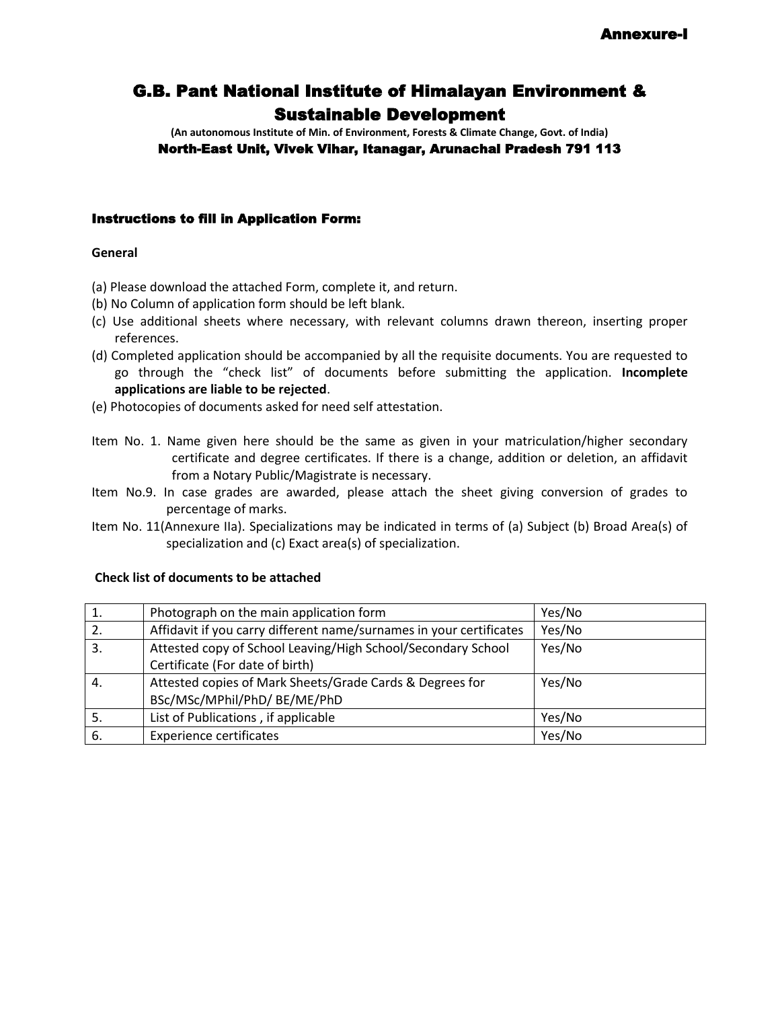## G.B. Pant National Institute of Himalayan Environment & Sustainable Development

**(An autonomous Institute of Min. of Environment, Forests & Climate Change, Govt. of India)** North-East Unit, Vivek Vihar, Itanagar, Arunachal Pradesh 791 113

#### Instructions to fill in Application Form:

#### **General**

- (a) Please download the attached Form, complete it, and return.
- (b) No Column of application form should be left blank.
- (c) Use additional sheets where necessary, with relevant columns drawn thereon, inserting proper references.
- (d) Completed application should be accompanied by all the requisite documents. You are requested to go through the "check list" of documents before submitting the application. **Incomplete applications are liable to be rejected**.
- (e) Photocopies of documents asked for need self attestation.
- Item No. 1. Name given here should be the same as given in your matriculation/higher secondary certificate and degree certificates. If there is a change, addition or deletion, an affidavit from a Notary Public/Magistrate is necessary.
- Item No.9. In case grades are awarded, please attach the sheet giving conversion of grades to percentage of marks.
- Item No. 11(Annexure IIa). Specializations may be indicated in terms of (a) Subject (b) Broad Area(s) of specialization and (c) Exact area(s) of specialization.

|     | Photograph on the main application form                             | Yes/No |
|-----|---------------------------------------------------------------------|--------|
| 2.  | Affidavit if you carry different name/surnames in your certificates | Yes/No |
| 3.  | Attested copy of School Leaving/High School/Secondary School        | Yes/No |
|     | Certificate (For date of birth)                                     |        |
| 4.  | Attested copies of Mark Sheets/Grade Cards & Degrees for            | Yes/No |
|     | BSc/MSc/MPhil/PhD/ BE/ME/PhD                                        |        |
| -5. | List of Publications, if applicable                                 | Yes/No |
| -6. | <b>Experience certificates</b>                                      | Yes/No |

#### **Check list of documents to be attached**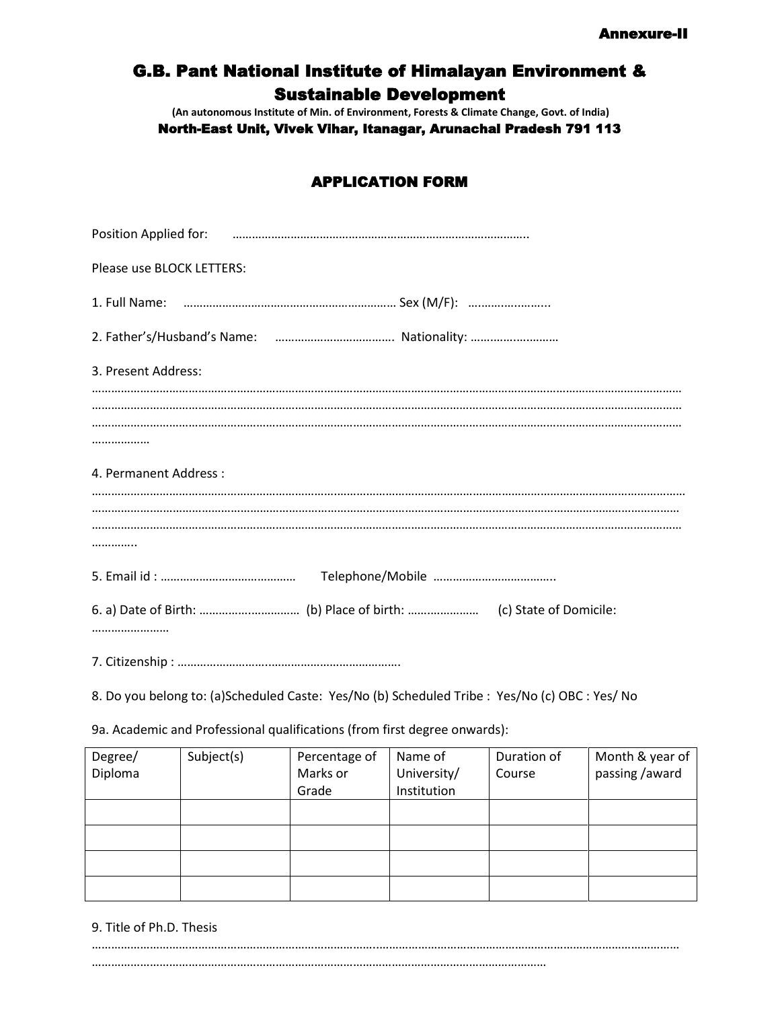## G.B. Pant National Institute of Himalayan Environment & Sustainable Development

**(An autonomous Institute of Min. of Environment, Forests & Climate Change, Govt. of India)**

North-East Unit, Vivek Vihar, Itanagar, Arunachal Pradesh 791 113

### APPLICATION FORM

| Please use BLOCK LETTERS: |
|---------------------------|
|                           |
|                           |
| 3. Present Address:       |
|                           |
|                           |
| 4. Permanent Address:     |
|                           |
|                           |
|                           |
|                           |
|                           |

8. Do you belong to: (a)Scheduled Caste: Yes/No (b) Scheduled Tribe : Yes/No (c) OBC : Yes/ No

9a. Academic and Professional qualifications (from first degree onwards):

| Degree/<br>Diploma | Subject(s) | Name of<br>Percentage of<br>Marks or<br>University/ |             | Duration of<br>Course | Month & year of<br>passing /award |  |
|--------------------|------------|-----------------------------------------------------|-------------|-----------------------|-----------------------------------|--|
|                    |            | Grade                                               | Institution |                       |                                   |  |
|                    |            |                                                     |             |                       |                                   |  |
|                    |            |                                                     |             |                       |                                   |  |
|                    |            |                                                     |             |                       |                                   |  |
|                    |            |                                                     |             |                       |                                   |  |
|                    |            |                                                     |             |                       |                                   |  |
|                    |            |                                                     |             |                       |                                   |  |

9. Title of Ph.D. Thesis

……………………………………………………………………………..………………………………………………………………………………… ……………………………………………………………………………………………………………………………